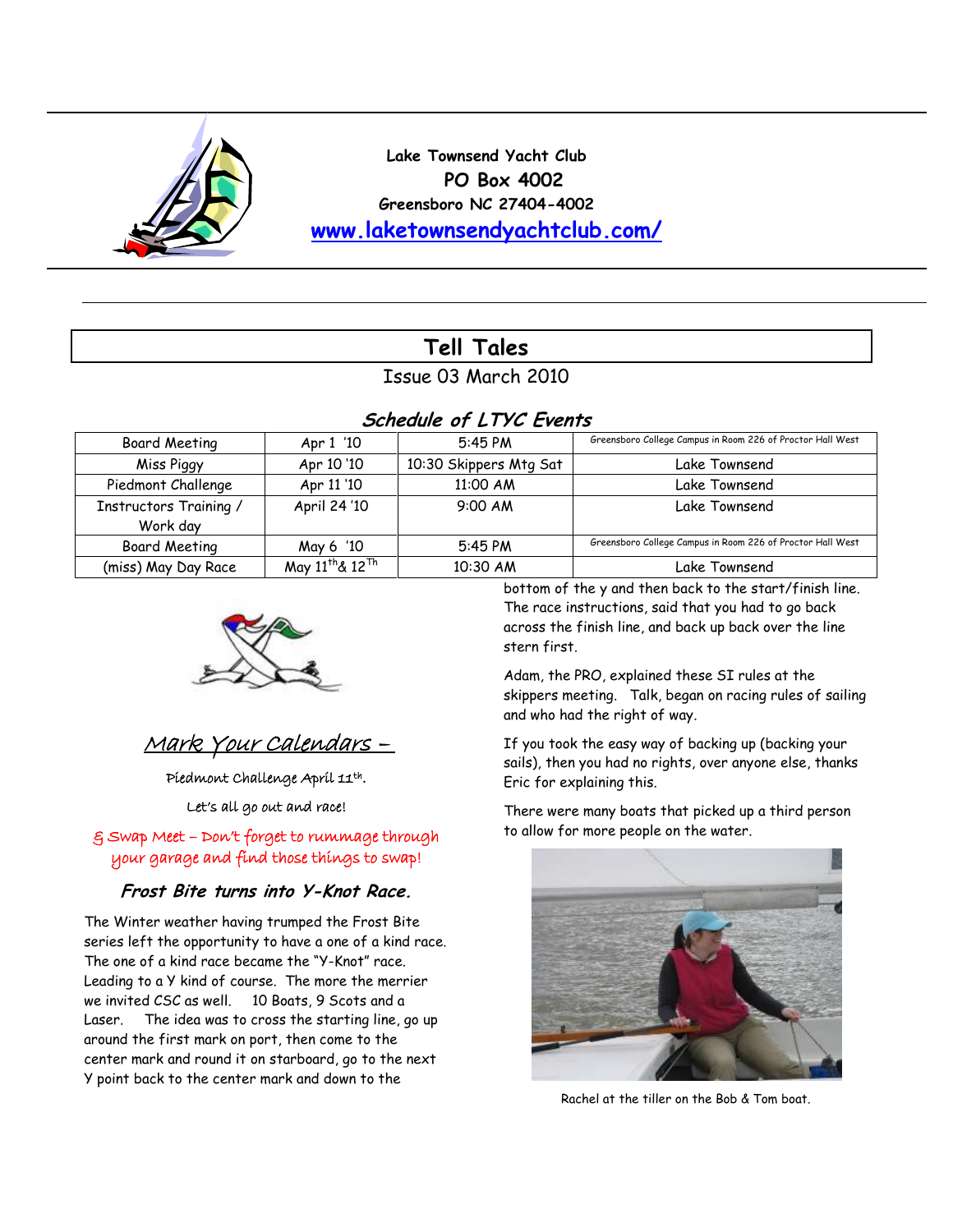

**Lake Townsend Yacht Club PO Box 4002 Greensboro NC 27404-4002 [www.laketownsendyachtclub.com/](http://www.laketownsendyachtclub.com/)**

# **Tell Tales**

## Issue 03 March 2010

# **Schedule of LTYC Events**

| Board Meeting          | Apr 1 '10                               | 5:45 PM                | Greensboro College Campus in Room 226 of Proctor Hall West |  |  |  |  |
|------------------------|-----------------------------------------|------------------------|------------------------------------------------------------|--|--|--|--|
| Miss Piggy             | Apr 10 '10                              | 10:30 Skippers Mtg Sat | Lake Townsend                                              |  |  |  |  |
| Piedmont Challenge     | Apr 11 '10                              | 11:00 AM               | Lake Townsend                                              |  |  |  |  |
| Instructors Training / | April 24 '10                            | $9:00$ AM              | Lake Townsend                                              |  |  |  |  |
| Work day               |                                         |                        |                                                            |  |  |  |  |
| <b>Board Meeting</b>   | May 6 '10                               | 5:45 PM                | Greensboro College Campus in Room 226 of Proctor Hall West |  |  |  |  |
| (miss) May Day Race    | May 11 <sup>th</sup> & 12 <sup>Th</sup> | 10:30 AM               | Lake Townsend                                              |  |  |  |  |



# Mark Your Calendars –

Piedmont Challenge April 11th .

Let's all go out and race!

& Swap Meet – Don't forget to rummage through your garage and find those things to swap!

## **Frost Bite turns into Y-Knot Race.**

The Winter weather having trumped the Frost Bite series left the opportunity to have a one of a kind race. The one of a kind race became the "Y-Knot" race. Leading to a Y kind of course. The more the merrier we invited CSC as well. 10 Boats, 9 Scots and a Laser. The idea was to cross the starting line, go up around the first mark on port, then come to the center mark and round it on starboard, go to the next Y point back to the center mark and down to the

bottom of the y and then back to the start/finish line. The race instructions, said that you had to go back across the finish line, and back up back over the line stern first.

Adam, the PRO, explained these SI rules at the skippers meeting. Talk, began on racing rules of sailing and who had the right of way.

If you took the easy way of backing up (backing your sails), then you had no rights, over anyone else, thanks Eric for explaining this.

There were many boats that picked up a third person to allow for more people on the water.



Rachel at the tiller on the Bob & Tom boat.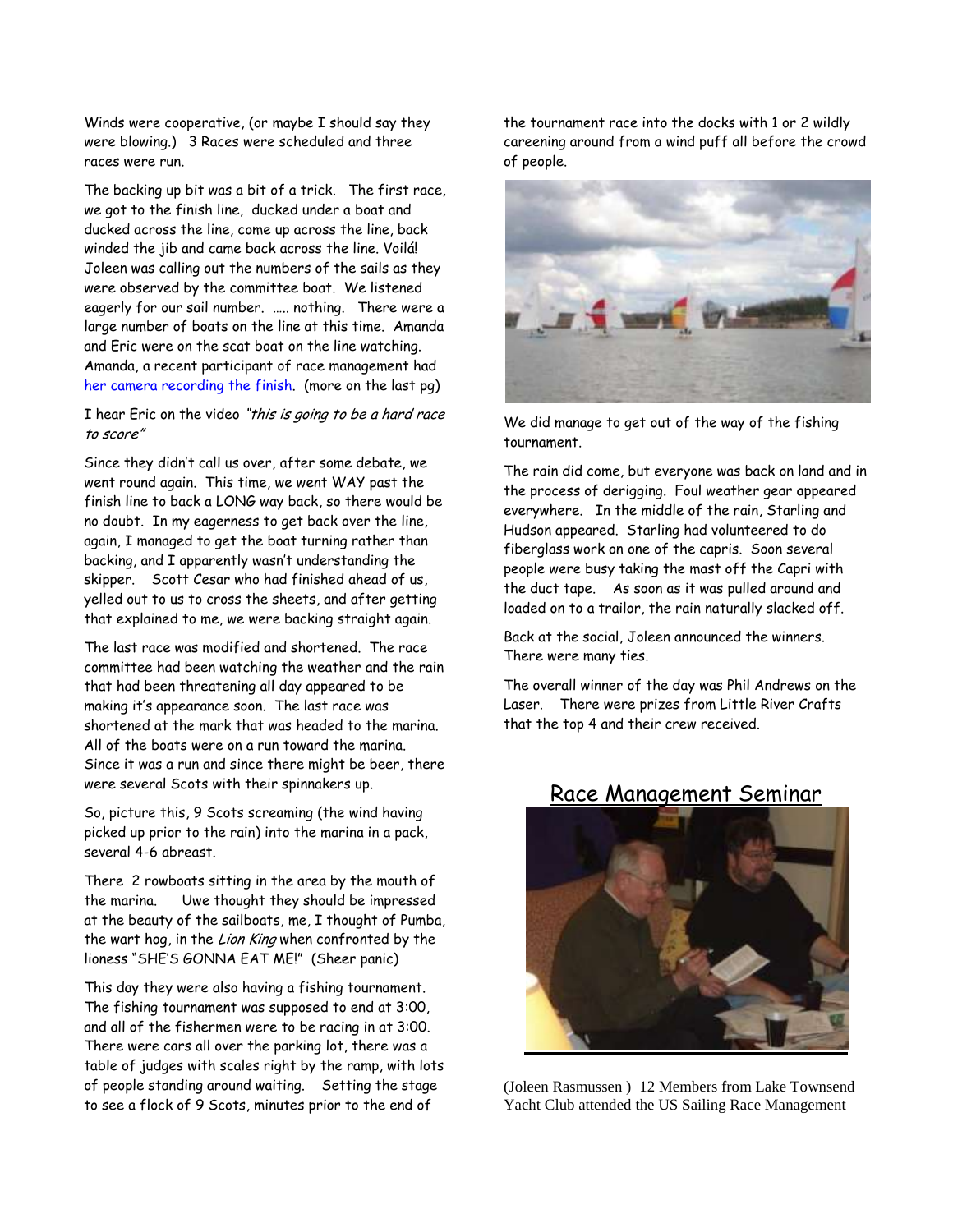Winds were cooperative, (or maybe I should say they were blowing.) 3 Races were scheduled and three races were run.

The backing up bit was a bit of a trick. The first race, we got to the finish line, ducked under a boat and ducked across the line, come up across the line, back winded the jib and came back across the line. Voilá! Joleen was calling out the numbers of the sails as they were observed by the committee boat. We listened eagerly for our sail number. ….. nothing. There were a large number of boats on the line at this time. Amanda and Eric were on the scat boat on the line watching. Amanda, a recent participant of race management had [her camera recording the finish.](http://s276.photobucket.com/albums/kk28/srvyingchick/Y%20Knot%20Race/?action=view¤t=MVI_0235.flv) (more on the last pg)

I hear Eric on the video "this is going to be a hard race to score"

Since they didn"t call us over, after some debate, we went round again. This time, we went WAY past the finish line to back a LONG way back, so there would be no doubt. In my eagerness to get back over the line, again, I managed to get the boat turning rather than backing, and I apparently wasn"t understanding the skipper. Scott Cesar who had finished ahead of us, yelled out to us to cross the sheets, and after getting that explained to me, we were backing straight again.

The last race was modified and shortened. The race committee had been watching the weather and the rain that had been threatening all day appeared to be making it"s appearance soon. The last race was shortened at the mark that was headed to the marina. All of the boats were on a run toward the marina. Since it was a run and since there might be beer, there were several Scots with their spinnakers up.

So, picture this, 9 Scots screaming (the wind having picked up prior to the rain) into the marina in a pack, several 4-6 abreast.

There 2 rowboats sitting in the area by the mouth of the marina. Uwe thought they should be impressed at the beauty of the sailboats, me, I thought of Pumba, the wart hog, in the Lion King when confronted by the lioness "SHE"S GONNA EAT ME!" (Sheer panic)

This day they were also having a fishing tournament. The fishing tournament was supposed to end at 3:00, and all of the fishermen were to be racing in at 3:00. There were cars all over the parking lot, there was a table of judges with scales right by the ramp, with lots of people standing around waiting. Setting the stage to see a flock of 9 Scots, minutes prior to the end of

the tournament race into the docks with 1 or 2 wildly careening around from a wind puff all before the crowd of people.



We did manage to get out of the way of the fishing tournament.

The rain did come, but everyone was back on land and in the process of derigging. Foul weather gear appeared everywhere. In the middle of the rain, Starling and Hudson appeared. Starling had volunteered to do fiberglass work on one of the capris. Soon several people were busy taking the mast off the Capri with the duct tape. As soon as it was pulled around and loaded on to a trailor, the rain naturally slacked off.

Back at the social, Joleen announced the winners. There were many ties.

The overall winner of the day was Phil Andrews on the Laser. There were prizes from Little River Crafts that the top 4 and their crew received.

(Joleen Rasmussen ) 12 Members from Lake Townsend Yacht Club attended the US Sailing Race Management

## Race Management Seminar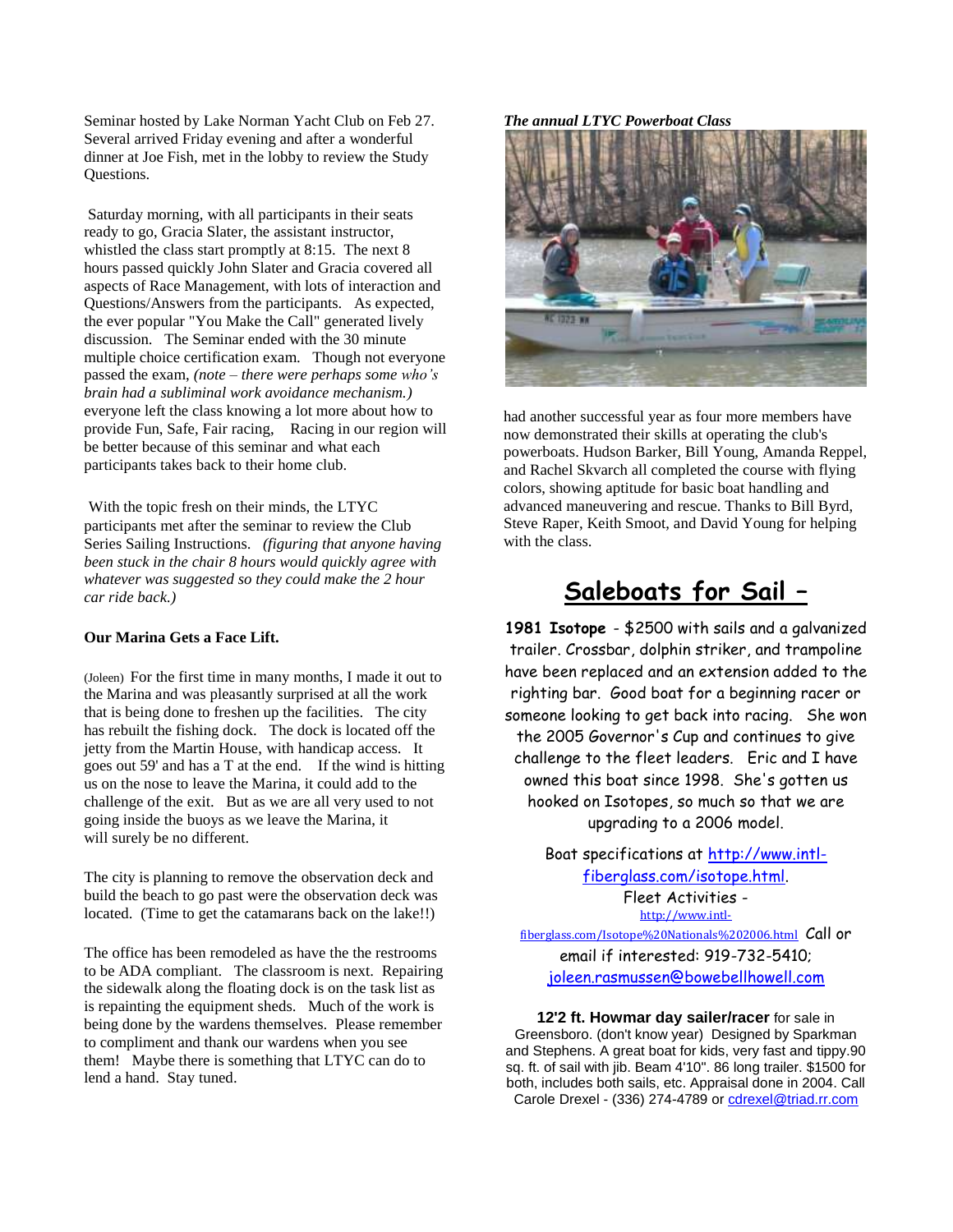Seminar hosted by Lake Norman Yacht Club on Feb 27. Several arrived Friday evening and after a wonderful dinner at Joe Fish, met in the lobby to review the Study Questions.

Saturday morning, with all participants in their seats ready to go, Gracia Slater, the assistant instructor, whistled the class start promptly at 8:15. The next 8 hours passed quickly John Slater and Gracia covered all aspects of Race Management, with lots of interaction and Questions/Answers from the participants. As expected, the ever popular "You Make the Call" generated lively discussion. The Seminar ended with the 30 minute multiple choice certification exam. Though not everyone passed the exam, *(note – there were perhaps some who's brain had a subliminal work avoidance mechanism.)*  everyone left the class knowing a lot more about how to provide Fun, Safe, Fair racing, Racing in our region will be better because of this seminar and what each participants takes back to their home club.

With the topic fresh on their minds, the LTYC participants met after the seminar to review the Club Series Sailing Instructions. *(figuring that anyone having been stuck in the chair 8 hours would quickly agree with whatever was suggested so they could make the 2 hour car ride back.)* 

#### **Our Marina Gets a Face Lift.**

(Joleen) For the first time in many months, I made it out to the Marina and was pleasantly surprised at all the work that is being done to freshen up the facilities. The city has rebuilt the fishing dock. The dock is located off the jetty from the Martin House, with handicap access. It goes out 59' and has a T at the end. If the wind is hitting us on the nose to leave the Marina, it could add to the challenge of the exit. But as we are all very used to not going inside the buoys as we leave the Marina, it will surely be no different.

The city is planning to remove the observation deck and build the beach to go past were the observation deck was located. (Time to get the catamarans back on the lake!!)

The office has been remodeled as have the the restrooms to be ADA compliant. The classroom is next. Repairing the sidewalk along the floating dock is on the task list as is repainting the equipment sheds. Much of the work is being done by the wardens themselves. Please remember to compliment and thank our wardens when you see them! Maybe there is something that LTYC can do to lend a hand. Stay tuned.

#### *The annual LTYC Powerboat Class*



had another successful year as four more members have now demonstrated their skills at operating the club's powerboats. Hudson Barker, Bill Young, Amanda Reppel, and Rachel Skvarch all completed the course with flying colors, showing aptitude for basic boat handling and advanced maneuvering and rescue. Thanks to Bill Byrd, Steve Raper, Keith Smoot, and David Young for helping with the class.

# **Saleboats for Sail –**

**1981 Isotope** - \$2500 with sails and a galvanized trailer. Crossbar, dolphin striker, and trampoline have been replaced and an extension added to the righting bar. Good boat for a beginning racer or someone looking to get back into racing. She won the 2005 Governor's Cup and continues to give challenge to the fleet leaders. Eric and I have owned this boat since 1998. She's gotten us hooked on Isotopes, so much so that we are upgrading to a 2006 model.

Boat specifications at [http://www.intl](http://www.intl-fiberglass.com/isotope.html)[fiberglass.com/isotope.html.](http://www.intl-fiberglass.com/isotope.html) Fleet Activities [http://www.intl](http://www.intl-fiberglass.com/Isotope%20Nationals%202006.html)[fiberglass.com/Isotope%20Nationals%202006.html](http://www.intl-fiberglass.com/Isotope%20Nationals%202006.html) Call or email if interested: 919-732-5410;

[joleen.rasmussen@bowebellhowell.com](mailto:joleen.rasmussen@bowebellhowell.com)

**12'2 ft. Howmar day sailer/racer** for sale in Greensboro. (don't know year) Designed by Sparkman and Stephens. A great boat for kids, very fast and tippy.90 sq. ft. of sail with jib. Beam 4'10". 86 long trailer. \$1500 for both, includes both sails, etc. Appraisal done in 2004. Call Carole Drexel - (336) 274-4789 or [cdrexel@triad.rr.com](mailto:cdrexel@triad.rr.com)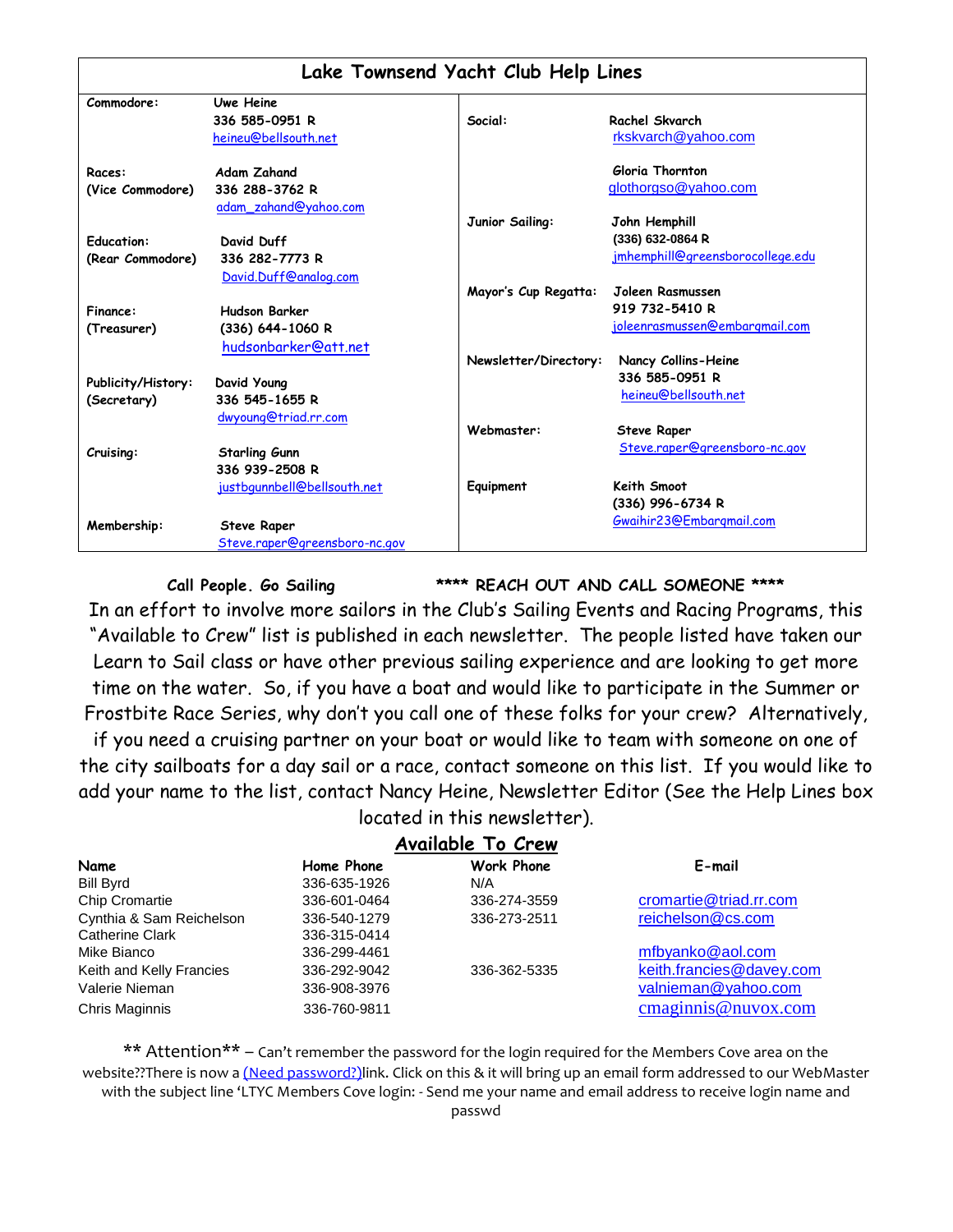| Lake Townsend Yacht Club Help Lines     |                                                                                                                                    |                       |                                       |  |
|-----------------------------------------|------------------------------------------------------------------------------------------------------------------------------------|-----------------------|---------------------------------------|--|
| Commodore:                              | <b>Uwe Heine</b>                                                                                                                   |                       |                                       |  |
|                                         | 336 585-0951 R                                                                                                                     | Social:               | Rachel Skvarch                        |  |
|                                         | heineu@bellsouth.net                                                                                                               |                       | rkskvarch@yahoo.com                   |  |
| Races:                                  | <b>Adam Zahand</b>                                                                                                                 |                       | Gloria Thornton                       |  |
| (Vice Commodore)                        | 336 288-3762 R                                                                                                                     |                       | glothorgso@yahoo.com                  |  |
|                                         | adam_zahand@yahoo.com                                                                                                              |                       |                                       |  |
|                                         |                                                                                                                                    | Junior Sailing:       | John Hemphill                         |  |
| <b>Education:</b>                       | David Duff                                                                                                                         |                       | (336) 632-0864 R                      |  |
| (Rear Commodore)                        | 336 282-7773 R                                                                                                                     |                       | jmhemphill@greensborocollege.edu      |  |
|                                         | David.Duff@analog.com                                                                                                              |                       |                                       |  |
|                                         |                                                                                                                                    | Mayor's Cup Regatta:  | Joleen Rasmussen                      |  |
| Finance:                                | <b>Hudson Barker</b>                                                                                                               |                       | 919 732-5410 R                        |  |
| (Treasurer)                             | $(336)$ 644-1060 R                                                                                                                 |                       | <u>joleenrasmussen@embargmail.com</u> |  |
|                                         | hudsonbarker@att.net                                                                                                               |                       |                                       |  |
|                                         |                                                                                                                                    | Newsletter/Directory: | Nancy Collins-Heine                   |  |
| Publicity/History:                      | David Young                                                                                                                        |                       | 336 585-0951 R                        |  |
|                                         | 336 545-1655 R                                                                                                                     |                       | heineu@bellsouth.net                  |  |
|                                         |                                                                                                                                    |                       |                                       |  |
|                                         |                                                                                                                                    | Webmaster:            | <b>Steve Raper</b>                    |  |
|                                         |                                                                                                                                    |                       | Steve.raper@greensboro-nc.gov         |  |
|                                         | 336 939-2508 R                                                                                                                     |                       |                                       |  |
|                                         |                                                                                                                                    | Equipment             | Keith Smoot                           |  |
|                                         |                                                                                                                                    |                       | (336) 996-6734 R                      |  |
|                                         |                                                                                                                                    |                       | Gwaihir23@Embargmail.com              |  |
|                                         |                                                                                                                                    |                       |                                       |  |
| (Secretary)<br>Cruising:<br>Membership: | dwyoung@triad.rr.com<br><b>Starling Gunn</b><br>justbqunnbell@bellsouth.net<br><b>Steve Raper</b><br>Steve.raper@greensboro-nc.gov |                       |                                       |  |

**Call People. Go Sailing \*\*\*\* REACH OUT AND CALL SOMEONE \*\*\*\***

In an effort to involve more sailors in the Club"s Sailing Events and Racing Programs, this "Available to Crew" list is published in each newsletter. The people listed have taken our Learn to Sail class or have other previous sailing experience and are looking to get more time on the water. So, if you have a boat and would like to participate in the Summer or Frostbite Race Series, why don"t you call one of these folks for your crew? Alternatively,

if you need a cruising partner on your boat or would like to team with someone on one of the city sailboats for a day sail or a race, contact someone on this list. If you would like to add your name to the list, contact Nancy Heine, Newsletter Editor (See the Help Lines box located in this newsletter).

|                          |              | Available To Crew |                          |
|--------------------------|--------------|-------------------|--------------------------|
| Name                     | Home Phone   | <b>Work Phone</b> | E-mail                   |
| <b>Bill Byrd</b>         | 336-635-1926 | N/A               |                          |
| Chip Cromartie           | 336-601-0464 | 336-274-3559      | cromartie@triad.rr.com   |
| Cynthia & Sam Reichelson | 336-540-1279 | 336-273-2511      | reichelson@cs.com        |
| Catherine Clark          | 336-315-0414 |                   |                          |
| Mike Bianco              | 336-299-4461 |                   | mfbyanko@aol.com         |
| Keith and Kelly Francies | 336-292-9042 | 336-362-5335      | keith.francies@davey.com |
| Valerie Nieman           | 336-908-3976 |                   | valnieman@yahoo.com      |
| Chris Maginnis           | 336-760-9811 |                   | cmaginnis@nuvox.com      |

\*\* Attention\*\* – Can't remember the password for the login required for the Members Cove area on the website??There is now a (Need password?)link. Click on this & it will bring up an email form addressed to our WebMaster with the subject line 'LTYC Members Cove login: - Send me your name and email address to receive login name and